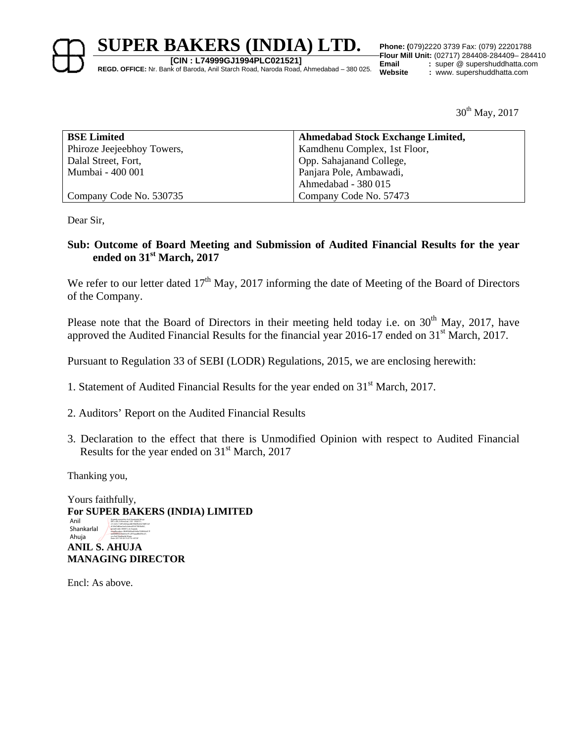**[CIN : L74999GJ1994PLC021521]**

**REGD. OFFICE:** Nr. Bank of Baroda, Anil Starch Road, Naroda Road, Ahmedabad – 380 025.

**Flour Mill Unit:** (02717) 284408-284409– 284410 **Email** : super @ supershuddhatta.com<br> **Website** : www. supershuddhatta.com **Website :** www. supershuddhatta.com

 $30^{th}$  May, 2017

| <b>BSE Limited</b>         | <b>Ahmedabad Stock Exchange Limited,</b> |
|----------------------------|------------------------------------------|
| Phiroze Jeejeebhoy Towers, | Kamdhenu Complex, 1st Floor,             |
| Dalal Street, Fort,        | Opp. Sahajanand College,                 |
| Mumbai - 400 001           | Panjara Pole, Ambawadi,                  |
|                            | Ahmedabad - 380 015                      |
| Company Code No. 530735    | Company Code No. 57473                   |

Dear Sir,

### **Sub: Outcome of Board Meeting and Submission of Audited Financial Results for the year ended on 31st March, 2017**

We refer to our letter dated  $17<sup>th</sup>$  May, 2017 informing the date of Meeting of the Board of Directors of the Company.

Please note that the Board of Directors in their meeting held today i.e. on 30<sup>th</sup> May, 2017, have approved the Audited Financial Results for the financial year 2016-17 ended on 31<sup>st</sup> March, 2017.

Pursuant to Regulation 33 of SEBI (LODR) Regulations, 2015, we are enclosing herewith:

- 1. Statement of Audited Financial Results for the year ended on 31st March, 2017.
- 2. Auditors' Report on the Audited Financial Results
- 3. Declaration to the effect that there is Unmodified Opinion with respect to Audited Financial Results for the year ended on 31<sup>st</sup> March, 2017

Thanking you,

Yours faithfully, **For SUPER BAKERS (INDIA) LIMITED ANIL S. AHUJA MANAGING DIRECTOR**  Anil Shankarlal Ahuja Digitally signed by Anil Shankarlal Ahuja DN: c=IN, o=Personal , CID - 3924711, 2.5.4.20=11df1e663aacdb59bb9b24e10bf51a9 d129d7d82ae3ee5c0decd95477855b841, postalCode=380015, st=Gujarat, serialNumber=3ffd93683ed63d6e732f6fcb417f aa6684f55550ab5ec91c2f73aaa88e094c27, cn=Anil Shankarlal Ahuja Date: 2017.05.30 15:27:10 +05'30'

Encl: As above.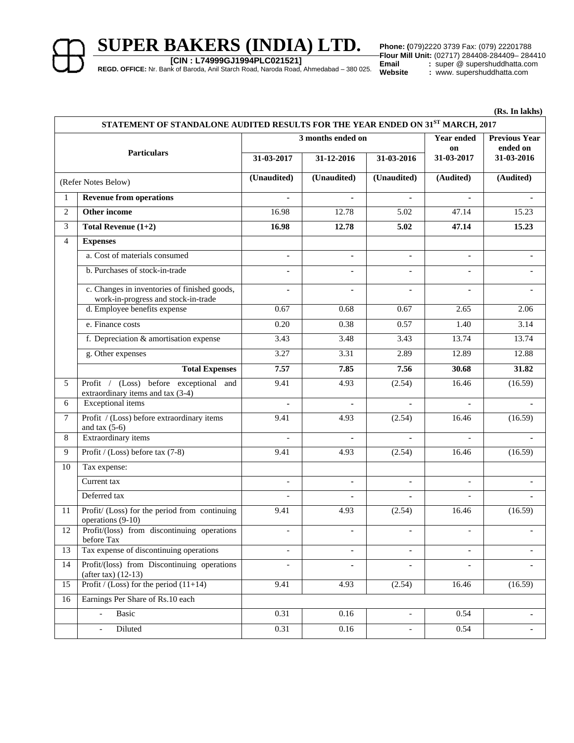**[CIN : L74999GJ1994PLC021521]**

**REGD. OFFICE:** Nr. Bank of Baroda, Anil Starch Road, Naroda Road, Ahmedabad – 380 025.

**Phone: (079)2220 3739 Fax: (079) 22201788**<br>**Flour Mill Unit:** (02717) 284408-284409- 284410<br>**Email** : super @ supershuddhatta.com **Email** : super @ supershuddhatta.com<br> **Website** : www.supershuddhatta.com **Website :** www. supershuddhatta.com

 **(Rs. In lakhs)**

| STATEMENT OF STANDALONE AUDITED RESULTS FOR THE YEAR ENDED ON $31^{ST}$ MARCH, 2017 |                                                                                     |                          |                   |                          |                          |                        |
|-------------------------------------------------------------------------------------|-------------------------------------------------------------------------------------|--------------------------|-------------------|--------------------------|--------------------------|------------------------|
|                                                                                     |                                                                                     |                          | 3 months ended on |                          |                          | <b>Previous Year</b>   |
| <b>Particulars</b>                                                                  |                                                                                     | 31-03-2017               | 31-12-2016        | 31-03-2016               | on<br>31-03-2017         | ended on<br>31-03-2016 |
|                                                                                     | (Refer Notes Below)                                                                 | (Unaudited)              | (Unaudited)       | (Unaudited)              | (Audited)                | (Audited)              |
| $\mathbf{1}$                                                                        | <b>Revenue from operations</b>                                                      |                          |                   |                          | $\blacksquare$           |                        |
| $\overline{2}$                                                                      | <b>Other income</b>                                                                 | 16.98                    | 12.78             | 5.02                     | 47.14                    | 15.23                  |
| 3                                                                                   | Total Revenue $(1+2)$                                                               | 16.98                    | 12.78             | 5.02                     | 47.14                    | 15.23                  |
| 4                                                                                   | <b>Expenses</b>                                                                     |                          |                   |                          |                          |                        |
|                                                                                     | a. Cost of materials consumed                                                       |                          |                   | $\mathbf{r}$             | ÷.                       |                        |
|                                                                                     | b. Purchases of stock-in-trade                                                      |                          |                   | $\blacksquare$           |                          |                        |
|                                                                                     | c. Changes in inventories of finished goods,<br>work-in-progress and stock-in-trade |                          |                   | ä,                       |                          |                        |
|                                                                                     | d. Employee benefits expense                                                        | 0.67                     | 0.68              | 0.67                     | 2.65                     | 2.06                   |
|                                                                                     | e. Finance costs                                                                    | 0.20                     | 0.38              | 0.57                     | 1.40                     | 3.14                   |
|                                                                                     | f. Depreciation & amortisation expense                                              | 3.43                     | 3.48              | 3.43                     | 13.74                    | 13.74                  |
|                                                                                     | g. Other expenses                                                                   | 3.27                     | 3.31              | 2.89                     | 12.89                    | 12.88                  |
|                                                                                     | <b>Total Expenses</b>                                                               | 7.57                     | 7.85              | 7.56                     | 30.68                    | 31.82                  |
| 5                                                                                   | Profit / (Loss) before exceptional and<br>extraordinary items and tax (3-4)         | 9.41                     | 4.93              | (2.54)                   | 16.46                    | (16.59)                |
| 6                                                                                   | <b>Exceptional</b> items                                                            |                          |                   |                          |                          |                        |
| $\tau$                                                                              | Profit / (Loss) before extraordinary items<br>and tax $(5-6)$                       | 9.41                     | 4.93              | (2.54)                   | 16.46                    | (16.59)                |
| 8                                                                                   | Extraordinary items                                                                 |                          |                   |                          |                          |                        |
| 9                                                                                   | Profit / (Loss) before tax (7-8)                                                    | 9.41                     | 4.93              | (2.54)                   | 16.46                    | (16.59)                |
| 10                                                                                  | Tax expense:                                                                        |                          |                   |                          |                          |                        |
|                                                                                     | Current tax                                                                         |                          |                   |                          |                          |                        |
|                                                                                     | Deferred tax                                                                        | $\overline{\phantom{a}}$ |                   | $\blacksquare$           | $\blacksquare$           |                        |
| 11                                                                                  | Profit/ (Loss) for the period from continuing<br>operations (9-10)                  | 9.41                     | 4.93              | (2.54)                   | 16.46                    | (16.59)                |
| 12                                                                                  | Profit/(loss) from discontinuing operations<br>before Tax                           | $\overline{\phantom{a}}$ | $\blacksquare$    | $\blacksquare$           | $\overline{\phantom{a}}$ |                        |
| 13                                                                                  | Tax expense of discontinuing operations                                             |                          |                   | $\blacksquare$           | $\blacksquare$           |                        |
| 14                                                                                  | Profit/(loss) from Discontinuing operations<br>(after tax) $(12-13)$                | $\overline{a}$           | $\blacksquare$    | $\mathbf{r}$             | $\blacksquare$           | ÷.                     |
| 15                                                                                  | Profit / (Loss) for the period $(11+14)$                                            | 9.41                     | 4.93              | (2.54)                   | 16.46                    | (16.59)                |
| 16                                                                                  | Earnings Per Share of Rs.10 each                                                    |                          |                   |                          |                          |                        |
|                                                                                     | Basic<br>$\blacksquare$                                                             | 0.31                     | 0.16              | $\overline{\phantom{a}}$ | 0.54                     |                        |
|                                                                                     | Diluted<br>$\blacksquare$                                                           | 0.31                     | 0.16              | $\overline{\phantom{a}}$ | 0.54                     | ٠                      |
|                                                                                     |                                                                                     |                          |                   |                          |                          |                        |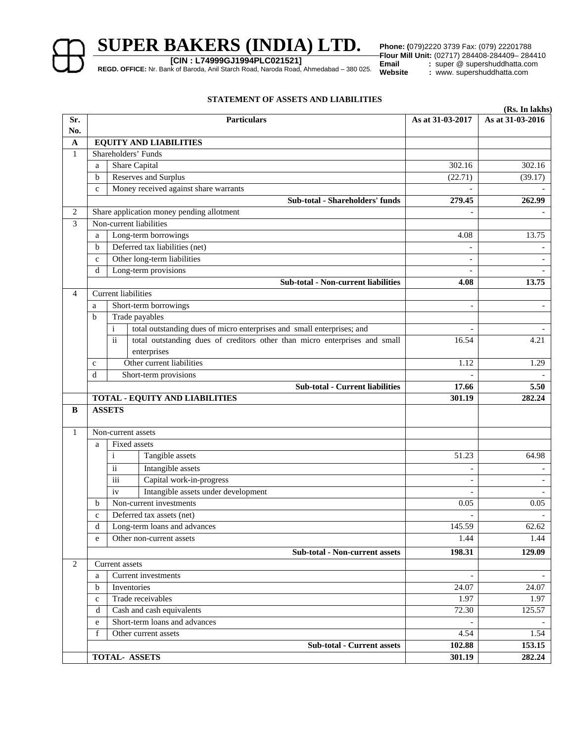**[CIN : L74999GJ1994PLC021521]**

**REGD. OFFICE:** Nr. Bank of Baroda, Anil Starch Road, Naroda Road, Ahmedabad – 380 025.

**Phone: (079)2220 3739 Fax: (079) 22201788**<br>**Flour Mill Unit:** (02717) 284408-284409- 284410<br>**Email** : super @ supershuddhatta.com **Email** : super @ supershuddhatta.com<br> **Website** : www.supershuddhatta.com **Website :** www. supershuddhatta.com

### **STATEMENT OF ASSETS AND LIABILITIES**

|                |              |                                                                                               |                              | (Rs. In lakhs)           |
|----------------|--------------|-----------------------------------------------------------------------------------------------|------------------------------|--------------------------|
| Sr.            |              | <b>Particulars</b>                                                                            | As at 31-03-2017             | As at 31-03-2016         |
| No.            |              |                                                                                               |                              |                          |
| $\mathbf A$    |              | <b>EQUITY AND LIABILITIES</b><br>Shareholders' Funds                                          |                              |                          |
| 1              |              |                                                                                               |                              |                          |
|                | a            | Share Capital                                                                                 | 302.16                       | 302.16                   |
|                | b            | <b>Reserves and Surplus</b>                                                                   | (22.71)                      | (39.17)                  |
|                | c            | Money received against share warrants                                                         |                              |                          |
|                |              | Sub-total - Shareholders' funds                                                               | 279.45                       | 262.99                   |
| 2              |              | Share application money pending allotment<br>Non-current liabilities                          |                              |                          |
| 3              |              |                                                                                               |                              |                          |
|                | a            | Long-term borrowings                                                                          | 4.08                         | 13.75                    |
|                | $\mathbf b$  | Deferred tax liabilities (net)                                                                |                              |                          |
|                | $\mathbf c$  | Other long-term liabilities                                                                   | $\overline{\phantom{a}}$     |                          |
|                | d            | Long-term provisions                                                                          |                              |                          |
|                |              | <b>Sub-total - Non-current liabilities</b>                                                    | 4.08                         | 13.75                    |
| $\overline{4}$ |              | <b>Current liabilities</b>                                                                    |                              |                          |
|                | a            | Short-term borrowings                                                                         | $\overline{\phantom{0}}$     | $\blacksquare$           |
|                | b            | Trade payables                                                                                |                              |                          |
|                |              | $\mathbf{i}$<br>total outstanding dues of micro enterprises and small enterprises; and        |                              |                          |
|                |              | $\ddot{\rm ii}$<br>total outstanding dues of creditors other than micro enterprises and small | 16.54                        | 4.21                     |
|                |              | enterprises                                                                                   |                              |                          |
|                | с            | Other current liabilities                                                                     | 1.12                         | 1.29                     |
|                | d            | Short-term provisions                                                                         |                              |                          |
|                |              | <b>Sub-total - Current liabilities</b>                                                        | 17.66                        | 5.50                     |
|                |              | <b>TOTAL - EQUITY AND LIABILITIES</b><br><b>ASSETS</b>                                        | 301.19                       | 282.24                   |
| B              |              |                                                                                               |                              |                          |
| 1              |              | Non-current assets                                                                            |                              |                          |
|                | a            | Fixed assets                                                                                  |                              |                          |
|                |              | $\mathbf{i}$<br>Tangible assets                                                               | 51.23                        | 64.98                    |
|                |              | $\overline{\textbf{ii}}$<br>Intangible assets                                                 | $\overline{\phantom{a}}$     |                          |
|                |              | Capital work-in-progress<br>iii                                                               | $\overline{\phantom{a}}$     | $\blacksquare$           |
|                |              | Intangible assets under development<br>iv                                                     |                              |                          |
|                | b            | Non-current investments                                                                       | 0.05                         | 0.05                     |
|                | $\mathbf{C}$ | Deferred tax assets (net)                                                                     | $\qquad \qquad \blacksquare$ | $\overline{\phantom{a}}$ |
|                | d            | Long-term loans and advances                                                                  | 145.59                       | 62.62                    |
|                | e            | Other non-current assets                                                                      | 1.44                         | 1.44                     |
|                |              | <b>Sub-total - Non-current assets</b>                                                         | 198.31                       | 129.09                   |
| 2              |              | Current assets                                                                                |                              |                          |
|                | a            | Current investments                                                                           |                              |                          |
|                | $\mathbf b$  | Inventories                                                                                   | 24.07                        | 24.07                    |
|                | $\mathbf c$  | Trade receivables                                                                             | 1.97                         | 1.97                     |
|                | d            | Cash and cash equivalents                                                                     | 72.30                        | 125.57                   |
|                | e            | Short-term loans and advances                                                                 |                              |                          |
|                | f            | Other current assets                                                                          | 4.54                         | 1.54                     |
|                |              | <b>Sub-total - Current assets</b>                                                             | 102.88                       | 153.15                   |
|                |              | TOTAL- ASSETS                                                                                 | 301.19                       | 282.24                   |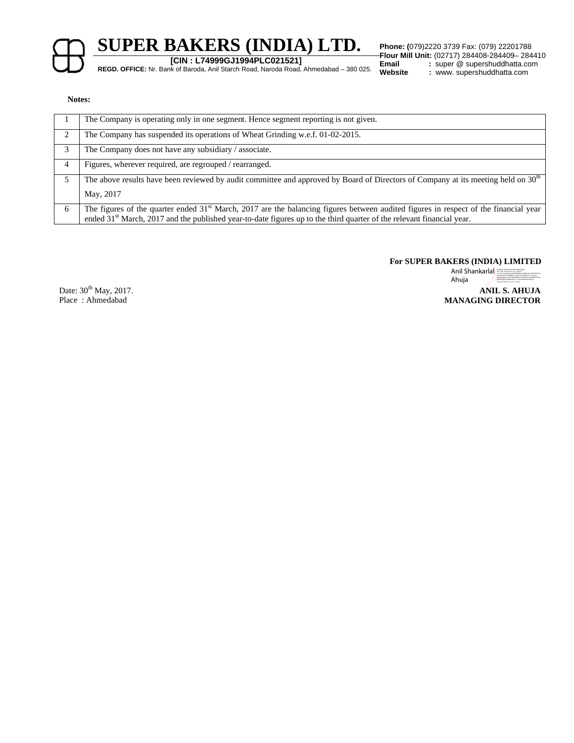

**[CIN : L74999GJ1994PLC021521]**

**REGD. OFFICE:** Nr. Bank of Baroda, Anil Starch Road, Naroda Road, Ahmedabad – 380 025.

**Flour Mill Unit:** (02717) 284408-284409- 284410<br>**Email** : super @ supershuddhatta.com **Email** : super @ supershuddhatta.com<br> **Website** : www.supershuddhatta.com **Website :** www. supershuddhatta.com

#### **Notes:**

|    | The Company is operating only in one segment. Hence segment reporting is not given.                                                                                                                                                                                         |
|----|-----------------------------------------------------------------------------------------------------------------------------------------------------------------------------------------------------------------------------------------------------------------------------|
| 2  | The Company has suspended its operations of Wheat Grinding w.e.f. 01-02-2015.                                                                                                                                                                                               |
| 3  | The Company does not have any subsidiary / associate.                                                                                                                                                                                                                       |
| 4  | Figures, wherever required, are regrouped / rearranged.                                                                                                                                                                                                                     |
| 5. | The above results have been reviewed by audit committee and approved by Board of Directors of Company at its meeting held on 30 <sup>th</sup><br>May, 2017                                                                                                                  |
| 6  | The figures of the quarter ended $31st$ March, 2017 are the balancing figures between audited figures in respect of the financial year<br>ended 31 <sup>st</sup> March, 2017 and the published year-to-date figures up to the third quarter of the relevant financial year. |

**For SUPER BAKERS (INDIA) LIMITED** 

**ANIL S. AHUJA**  Anil Shankarlal **Shankarlal** Ahuja 2.14.20.11.1ft eeks kacadiste behalf te rath for an one contractor<br>general section of the contract of the matrix of an elapsat<br>General formation of the contract of the Partial Cost Phases with 150 a<br>General Fall and 16 27:

Date:  $30^{th}$  May, 2017. Place : Ahmedabad

**MANAGING DIRECTOR**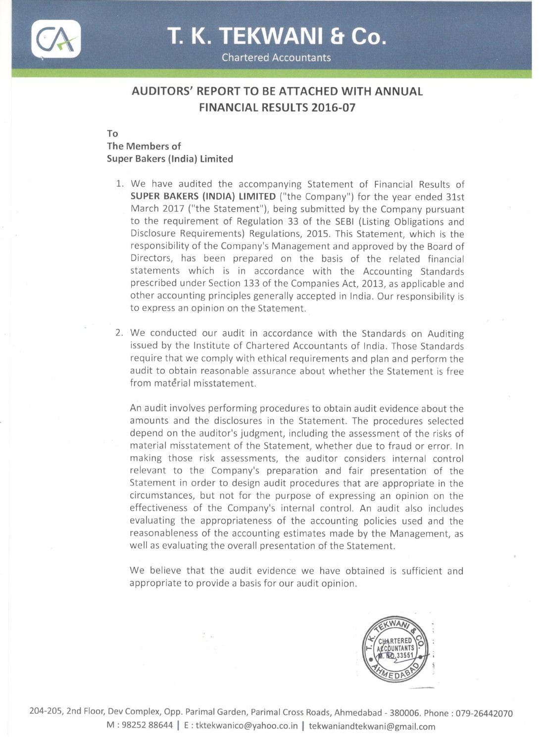

# T. K. TEKWANI & Co.

**Chartered Accountants** 

# **AUDITORS' REPORT TO BE ATTACHED WITH ANNUAL FINANCIAL RESULTS 2016-07**

To

## The Members of Super Bakers (India) Limited

- 1. We have audited the accompanying Statement of Financial Results of SUPER BAKERS (INDIA) LIMITED ("the Company") for the year ended 31st March 2017 ("the Statement"), being submitted by the Company pursuant to the requirement of Regulation 33 of the SEBI (Listing Obligations and Disclosure Requirements) Regulations, 2015. This Statement, which is the responsibility of the Company's Management and approved by the Board of Directors, has been prepared on the basis of the related financial statements which is in accordance with the Accounting Standards prescribed under Section 133 of the Companies Act, 2013, as applicable and other accounting principles generally accepted in India. Our responsibility is to express an opinion on the Statement.
- 2. We conducted our audit in accordance with the Standards on Auditing issued by the Institute of Chartered Accountants of India. Those Standards require that we comply with ethical requirements and plan and perform the audit to obtain reasonable assurance about whether the Statement is free from material misstatement.

An audit involves performing procedures to obtain audit evidence about the amounts and the disclosures in the Statement. The procedures selected depend on the auditor's judgment, including the assessment of the risks of material misstatement of the Statement, whether due to fraud or error. In making those risk assessments, the auditor considers internal control relevant to the Company's preparation and fair presentation of the Statement in order to design audit procedures that are appropriate in the circumstances, but not for the purpose of expressing an opinion on the effectiveness of the Company's internal control. An audit also includes evaluating the appropriateness of the accounting policies used and the reasonableness of the accounting estimates made by the Management, as well as evaluating the overall presentation of the Statement.

We believe that the audit evidence we have obtained is sufficient and appropriate to provide a basis for our audit opinion.

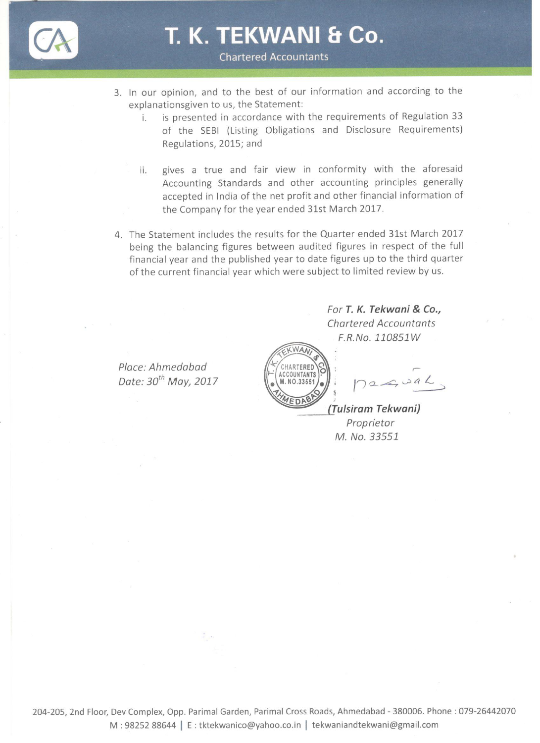

T. K. TEKWANI & Co.

**Chartered Accountants** 

- 3. In our opinion, and to the best of our information and according to the explanationsgiven to us, the Statement:
	- is presented in accordance with the requirements of Regulation 33 i. of the SEBI (Listing Obligations and Disclosure Requirements) Regulations, 2015; and
	- gives a true and fair view in conformity with the aforesaid ii. Accounting Standards and other accounting principles generally accepted in India of the net profit and other financial information of the Company for the year ended 31st March 2017.
- 4. The Statement includes the results for the Quarter ended 31st March 2017 being the balancing figures between audited figures in respect of the full financial year and the published year to date figures up to the third quarter of the current financial year which were subject to limited review by us.

Place: Ahmedabad Date: 30<sup>th</sup> May, 2017



 $26,096$ 

For T. K. Tekwani & Co., **Chartered Accountants** F.R.No. 110851W

(Tulsiram Tekwani) Proprietor M. No. 33551